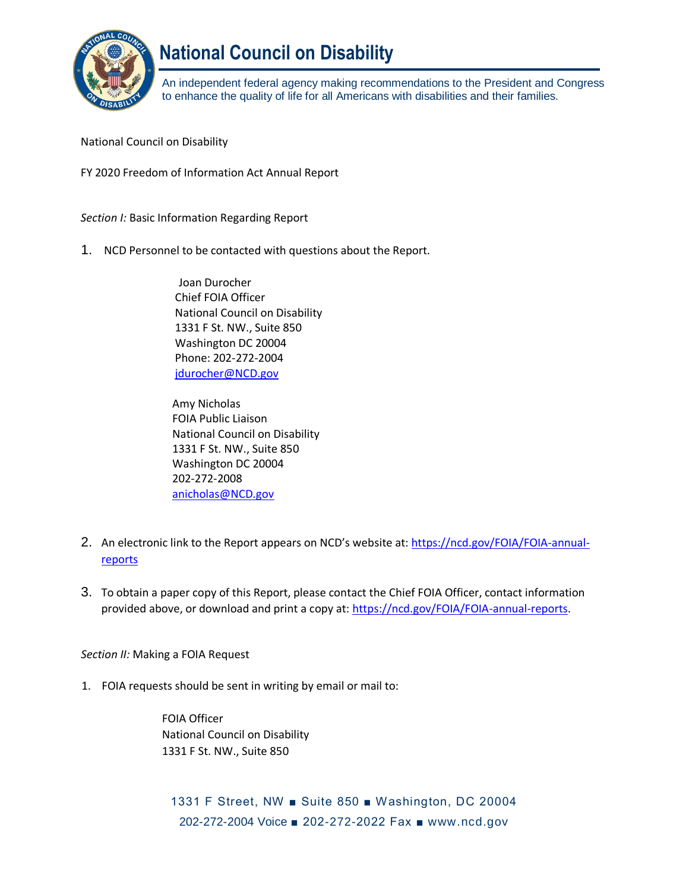

# **National Council on Disability**

An independent federal agency making recommendations to the President and Congress to enhance the quality of life for all Americans with disabilities and their families.

National Council on Disability

FY 2020 Freedom of Information Act Annual Report

*Section I:* Basic Information Regarding Report

1. NCD Personnel to be contacted with questions about the Report.

Joan Durocher Chief FOIA Officer National Council on Disability 1331 F St. NW., Suite 850 Washington DC 20004 Phone: 202-272-2004 [jdurocher@NCD.gov](mailto:jdurocher@NCD.gov)

Amy Nicholas FOIA Public Liaison National Council on Disability 1331 F St. NW., Suite 850 Washington DC 20004 202-272-2008 [anicholas@NCD.gov](mailto:anicholas@NCD.gov)

- 2. An electronic link to the Report appears on NCD's website at: [https://ncd.gov/FOIA/FOIA-annual](https://ncd.gov/FOIA/FOIA-annual-reports)[reports](https://ncd.gov/FOIA/FOIA-annual-reports)
- 3. To obtain a paper copy of this Report, please contact the Chief FOIA Officer, contact information provided above, or download and print a copy at: <https://ncd.gov/FOIA/FOIA-annual-reports>[.](http://www.ncd.gov/FOIA/FOIA-annual-reports)

*Section II:* Making a FOIA Request

1. FOIA requests should be sent in writing by email or mail to:

FOIA Officer National Council on Disability 1331 F St. NW., Suite 850

1331 F Street, NW ■ Suite 850 ■ Washington, DC 20004 202-272-2004 Voice ■ 202-272-2022 Fax ■ [www.ncd.gov](http://www.ncd.gov/)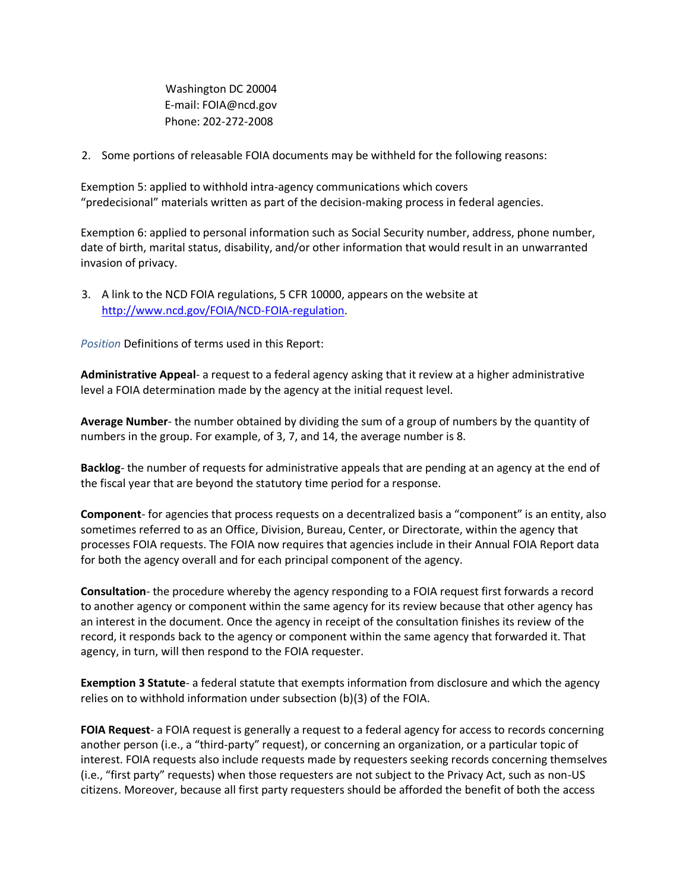Washington DC 20004 E-mail: FOIA@ncd.gov Phone: 202-272-2008

2. Some portions of releasable FOIA documents may be withheld for the following reasons:

Exemption 5: applied to withhold intra-agency communications which covers "predecisional" materials written as part of the decision-making process in federal agencies.

Exemption 6: applied to personal information such as Social Security number, address, phone number, date of birth, marital status, disability, and/or other information that would result in an unwarranted invasion of privacy.

3. A link to the NCD FOIA regulations, 5 CFR 10000, appears on the website at [http://www.ncd.gov/FOIA/NCD-FOIA-regulation.](http://www.ncd.gov/FOIA/NCD-FOIA-regulation)

*Position* Definitions of terms used in this Report:

**Administrative Appeal**- a request to a federal agency asking that it review at a higher administrative level a FOIA determination made by the agency at the initial request level.

**Average Number**- the number obtained by dividing the sum of a group of numbers by the quantity of numbers in the group. For example, of 3, 7, and 14, the average number is 8.

**Backlog**- the number of requests for administrative appeals that are pending at an agency at the end of the fiscal year that are beyond the statutory time period for a response.

**Component**- for agencies that process requests on a decentralized basis a "component" is an entity, also sometimes referred to as an Office, Division, Bureau, Center, or Directorate, within the agency that processes FOIA requests. The FOIA now requires that agencies include in their Annual FOIA Report data for both the agency overall and for each principal component of the agency.

**Consultation**- the procedure whereby the agency responding to a FOIA request first forwards a record to another agency or component within the same agency for its review because that other agency has an interest in the document. Once the agency in receipt of the consultation finishes its review of the record, it responds back to the agency or component within the same agency that forwarded it. That agency, in turn, will then respond to the FOIA requester.

**Exemption 3 Statute**- a federal statute that exempts information from disclosure and which the agency relies on to withhold information under subsection (b)(3) of the FOIA.

**FOIA Request**- a FOIA request is generally a request to a federal agency for access to records concerning another person (i.e., a "third-party" request), or concerning an organization, or a particular topic of interest. FOIA requests also include requests made by requesters seeking records concerning themselves (i.e., "first party" requests) when those requesters are not subject to the Privacy Act, such as non-US citizens. Moreover, because all first party requesters should be afforded the benefit of both the access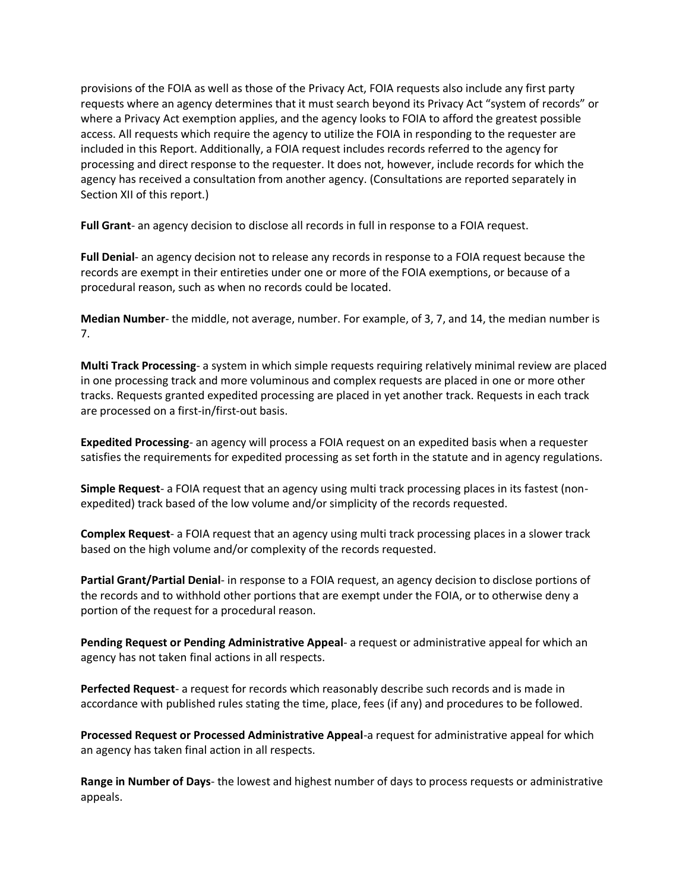provisions of the FOIA as well as those of the Privacy Act, FOIA requests also include any first party requests where an agency determines that it must search beyond its Privacy Act "system of records" or where a Privacy Act exemption applies, and the agency looks to FOIA to afford the greatest possible access. All requests which require the agency to utilize the FOIA in responding to the requester are included in this Report. Additionally, a FOIA request includes records referred to the agency for processing and direct response to the requester. It does not, however, include records for which the agency has received a consultation from another agency. (Consultations are reported separately in Section XII of this report.)

**Full Grant**- an agency decision to disclose all records in full in response to a FOIA request.

**Full Denial**- an agency decision not to release any records in response to a FOIA request because the records are exempt in their entireties under one or more of the FOIA exemptions, or because of a procedural reason, such as when no records could be located.

**Median Number**- the middle, not average, number. For example, of 3, 7, and 14, the median number is 7.

**Multi Track Processing**- a system in which simple requests requiring relatively minimal review are placed in one processing track and more voluminous and complex requests are placed in one or more other tracks. Requests granted expedited processing are placed in yet another track. Requests in each track are processed on a first-in/first-out basis.

**Expedited Processing**- an agency will process a FOIA request on an expedited basis when a requester satisfies the requirements for expedited processing as set forth in the statute and in agency regulations.

**Simple Request**- a FOIA request that an agency using multi track processing places in its fastest (nonexpedited) track based of the low volume and/or simplicity of the records requested.

**Complex Request**- a FOIA request that an agency using multi track processing places in a slower track based on the high volume and/or complexity of the records requested.

**Partial Grant/Partial Denial**- in response to a FOIA request, an agency decision to disclose portions of the records and to withhold other portions that are exempt under the FOIA, or to otherwise deny a portion of the request for a procedural reason.

**Pending Request or Pending Administrative Appeal**- a request or administrative appeal for which an agency has not taken final actions in all respects.

**Perfected Request**- a request for records which reasonably describe such records and is made in accordance with published rules stating the time, place, fees (if any) and procedures to be followed.

**Processed Request or Processed Administrative Appeal**-a request for administrative appeal for which an agency has taken final action in all respects.

**Range in Number of Days**- the lowest and highest number of days to process requests or administrative appeals.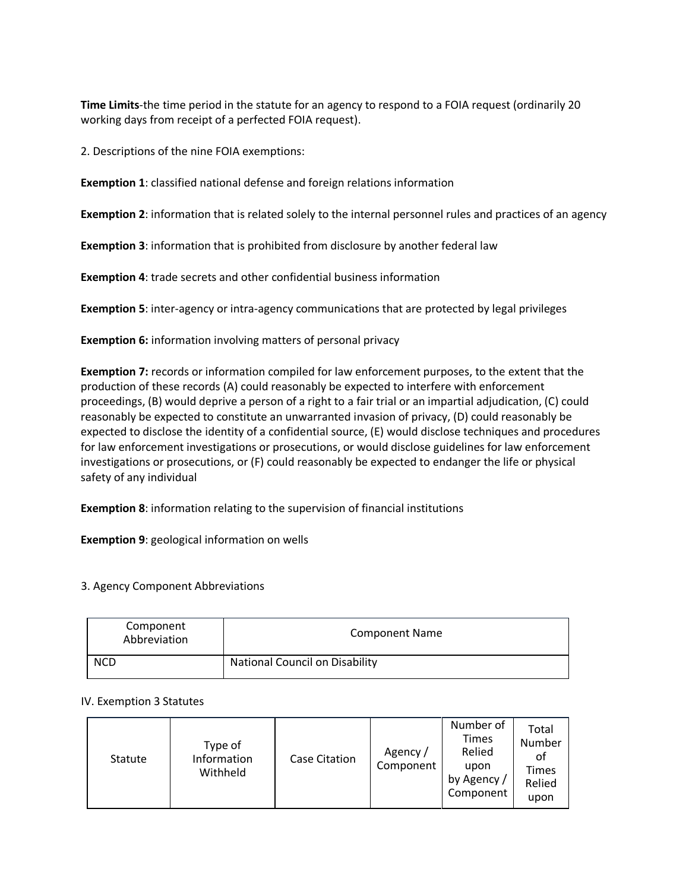**Time Limits**-the time period in the statute for an agency to respond to a FOIA request (ordinarily 20 working days from receipt of a perfected FOIA request).

2. Descriptions of the nine FOIA exemptions:

**Exemption 1**: classified national defense and foreign relations information

**Exemption 2**: information that is related solely to the internal personnel rules and practices of an agency

**Exemption 3**: information that is prohibited from disclosure by another federal law

**Exemption 4**: trade secrets and other confidential business information

**Exemption 5**: inter-agency or intra-agency communications that are protected by legal privileges

**Exemption 6:** information involving matters of personal privacy

**Exemption 7:** records or information compiled for law enforcement purposes, to the extent that the production of these records (A) could reasonably be expected to interfere with enforcement proceedings, (B) would deprive a person of a right to a fair trial or an impartial adjudication, (C) could reasonably be expected to constitute an unwarranted invasion of privacy, (D) could reasonably be expected to disclose the identity of a confidential source, (E) would disclose techniques and procedures for law enforcement investigations or prosecutions, or would disclose guidelines for law enforcement investigations or prosecutions, or (F) could reasonably be expected to endanger the life or physical safety of any individual

**Exemption 8**: information relating to the supervision of financial institutions

**Exemption 9**: geological information on wells

3. Agency Component Abbreviations

| Component<br>Abbreviation | <b>Component Name</b>                 |
|---------------------------|---------------------------------------|
| <b>NCD</b>                | <b>National Council on Disability</b> |

#### IV. Exemption 3 Statutes

| Statute | Type of<br>Information<br>Withheld | <b>Case Citation</b> | Agency /<br>Component | Number of<br><b>Times</b><br>Relied<br>upon<br>by Agency /<br>Component | Total<br>Number<br>οf<br>Times<br>Relied<br>upon |
|---------|------------------------------------|----------------------|-----------------------|-------------------------------------------------------------------------|--------------------------------------------------|
|---------|------------------------------------|----------------------|-----------------------|-------------------------------------------------------------------------|--------------------------------------------------|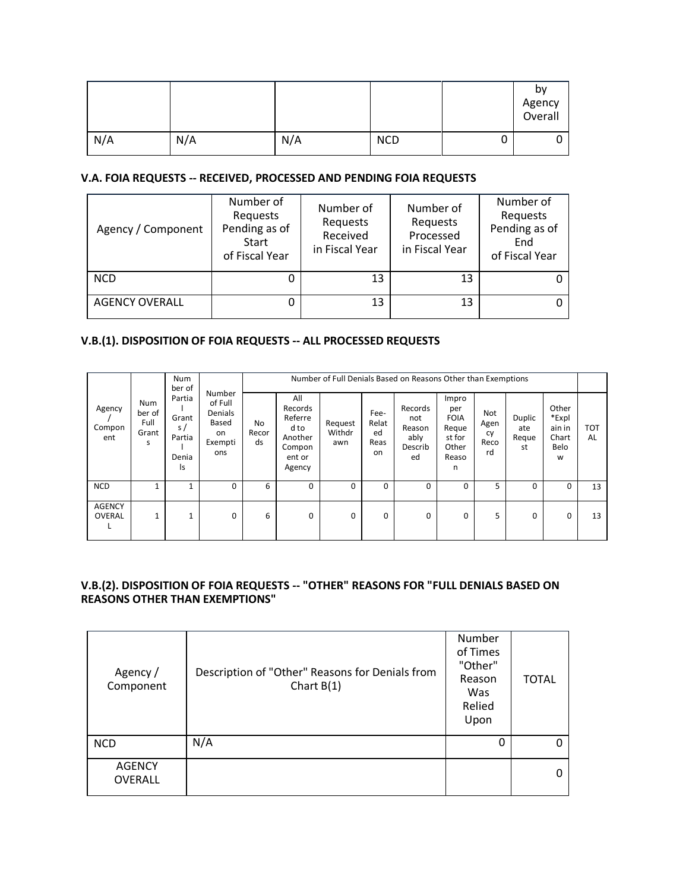|     |     |     |            |   | by<br>Agency<br>Overall |
|-----|-----|-----|------------|---|-------------------------|
| N/A | N/A | N/A | <b>NCD</b> | U |                         |

#### V.A. FOIA REQUESTS -- RECEIVED, PROCESSED AND PENDING FOIA REQUESTS

| Agency / Component    | Number of<br>Requests<br>Pending as of<br><b>Start</b><br>of Fiscal Year | Number of<br>Requests<br>Received<br>in Fiscal Year | Number of<br>Requests<br>Processed<br>in Fiscal Year | Number of<br>Requests<br>Pending as of<br>End<br>of Fiscal Year |
|-----------------------|--------------------------------------------------------------------------|-----------------------------------------------------|------------------------------------------------------|-----------------------------------------------------------------|
| <b>NCD</b>            | 0                                                                        | 13                                                  | 13                                                   |                                                                 |
| <b>AGENCY OVERALL</b> | 0                                                                        | 13                                                  | 13                                                   |                                                                 |

## V.B.(1). DISPOSITION OF FOIA REQUESTS -- ALL PROCESSED REQUESTS

|                                |                                | <b>Num</b><br>ber of                                       |                                                               |                          | Number of Full Denials Based on Reasons Other than Exemptions              |                          |                                   |                                                   |                                                                       |                                 |                              |                                                |                  |  |
|--------------------------------|--------------------------------|------------------------------------------------------------|---------------------------------------------------------------|--------------------------|----------------------------------------------------------------------------|--------------------------|-----------------------------------|---------------------------------------------------|-----------------------------------------------------------------------|---------------------------------|------------------------------|------------------------------------------------|------------------|--|
| Agency<br>Compon<br>ent        | Num<br>ber of<br>Full<br>Grant | Partia<br>Grant<br>$\mathsf{s}$ /<br>Partia<br>Denia<br>ls | Number<br>of Full<br>Denials<br>Based<br>on<br>Exempti<br>ons | <b>No</b><br>Recor<br>ds | All<br>Records<br>Referre<br>d to<br>Another<br>Compon<br>ent or<br>Agency | Request<br>Withdr<br>awn | Fee-<br>Relat<br>ed<br>Reas<br>on | Records<br>not<br>Reason<br>ably<br>Describ<br>ed | Impro<br>per<br><b>FOIA</b><br>Reque<br>st for<br>Other<br>Reaso<br>n | Not<br>Agen<br>cy<br>Reco<br>rd | Duplic<br>ate<br>Reque<br>st | Other<br>*Expl<br>ain in<br>Chart<br>Belo<br>W | <b>TOT</b><br>AL |  |
| <b>NCD</b>                     |                                |                                                            | $\Omega$                                                      | 6                        | 0                                                                          | $\Omega$                 | $\Omega$                          | 0                                                 | $\Omega$                                                              | 5                               | 0                            | 0                                              | 13               |  |
| <b>AGENCY</b><br><b>OVERAL</b> | $\mathbf{1}$                   | $\overline{ }$                                             | $\Omega$                                                      | 6                        | $\mathbf 0$                                                                | 0                        | $\Omega$                          | 0                                                 | 0                                                                     | 5                               | $\mathbf 0$                  | 0                                              | 13               |  |

## V.B.(2). DISPOSITION OF FOIA REQUESTS -- "OTHER" REASONS FOR "FULL DENIALS BASED ON **REASONS OTHER THAN EXEMPTIONS"**

| Agency /<br>Component           | Description of "Other" Reasons for Denials from<br>Chart $B(1)$ | Number<br>of Times<br>"Other"<br>Reason<br>Was<br>Relied<br>Upon | <b>TOTAL</b> |
|---------------------------------|-----------------------------------------------------------------|------------------------------------------------------------------|--------------|
| <b>NCD</b>                      | N/A                                                             | 0                                                                | Ω            |
| <b>AGENCY</b><br><b>OVERALL</b> |                                                                 |                                                                  |              |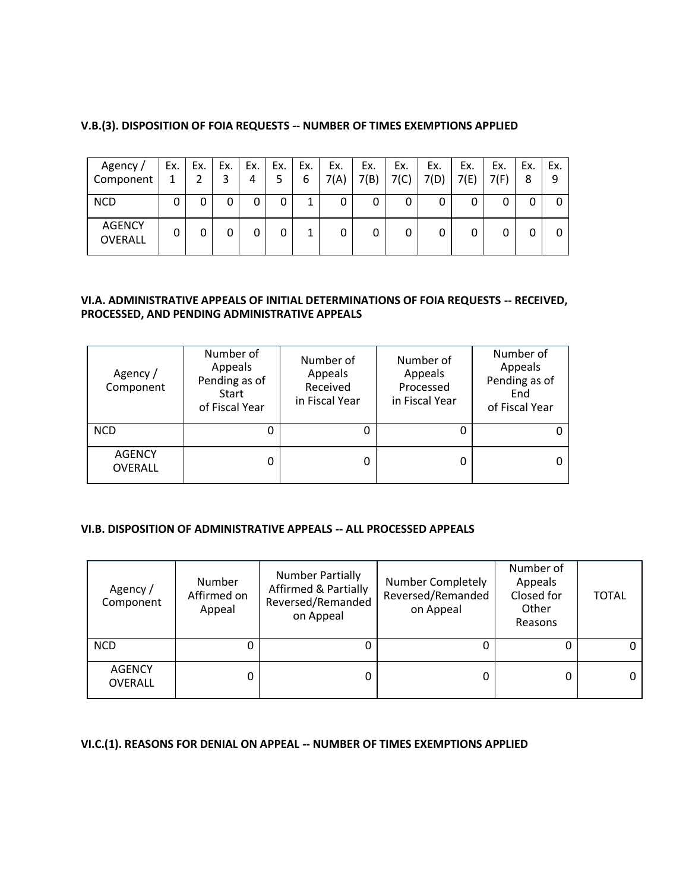| Agency /                        | Ex. | Ex. | Ex. | Ex. | Ex. | Ex. | Ex.  | Ex.  | Ex.  | Ex.  | Ex.  | Ex.  | Ex. | Ex. |
|---------------------------------|-----|-----|-----|-----|-----|-----|------|------|------|------|------|------|-----|-----|
| Component                       |     |     |     | 4   | 5   | 6   | 7(A) | 7(B) | 7(C) | 7(D) | 7(E) | 7(F) | 8   |     |
| <b>NCD</b>                      | 0   | 0   |     | 0   |     |     | 0    |      | 0    | 0    | 0    |      |     | 0   |
| <b>AGENCY</b><br><b>OVERALL</b> | 0   |     |     |     |     |     |      |      | 0    |      | 0    |      |     | 0   |

#### **V.B.(3). DISPOSITION OF FOIA REQUESTS -- NUMBER OF TIMES EXEMPTIONS APPLIED**

#### **VI.A. ADMINISTRATIVE APPEALS OF INITIAL DETERMINATIONS OF FOIA REQUESTS -- RECEIVED, PROCESSED, AND PENDING ADMINISTRATIVE APPEALS**

| Agency/<br>Component            | Number of<br>Appeals<br>Pending as of<br><b>Start</b><br>of Fiscal Year | Number of<br>Appeals<br>Received<br>in Fiscal Year | Number of<br>Appeals<br>Processed<br>in Fiscal Year | Number of<br>Appeals<br>Pending as of<br>End<br>of Fiscal Year |  |
|---------------------------------|-------------------------------------------------------------------------|----------------------------------------------------|-----------------------------------------------------|----------------------------------------------------------------|--|
| <b>NCD</b>                      | 0                                                                       |                                                    |                                                     |                                                                |  |
| <b>AGENCY</b><br><b>OVERALL</b> | 0                                                                       |                                                    | 0                                                   |                                                                |  |

#### **VI.B. DISPOSITION OF ADMINISTRATIVE APPEALS -- ALL PROCESSED APPEALS**

| Agency/<br>Component     | <b>Number</b><br>Affirmed on<br>Appeal | <b>Number Partially</b><br><b>Affirmed &amp; Partially</b><br>Reversed/Remanded<br>on Appeal | <b>Number Completely</b><br>Reversed/Remanded<br>on Appeal | Number of<br>Appeals<br>Closed for<br>Other<br>Reasons | <b>TOTAL</b> |
|--------------------------|----------------------------------------|----------------------------------------------------------------------------------------------|------------------------------------------------------------|--------------------------------------------------------|--------------|
| <b>NCD</b>               | 0                                      |                                                                                              |                                                            |                                                        |              |
| <b>AGENCY</b><br>OVERALL | 0                                      | 0                                                                                            |                                                            |                                                        |              |

#### **VI.C.(1). REASONS FOR DENIAL ON APPEAL -- NUMBER OF TIMES EXEMPTIONS APPLIED**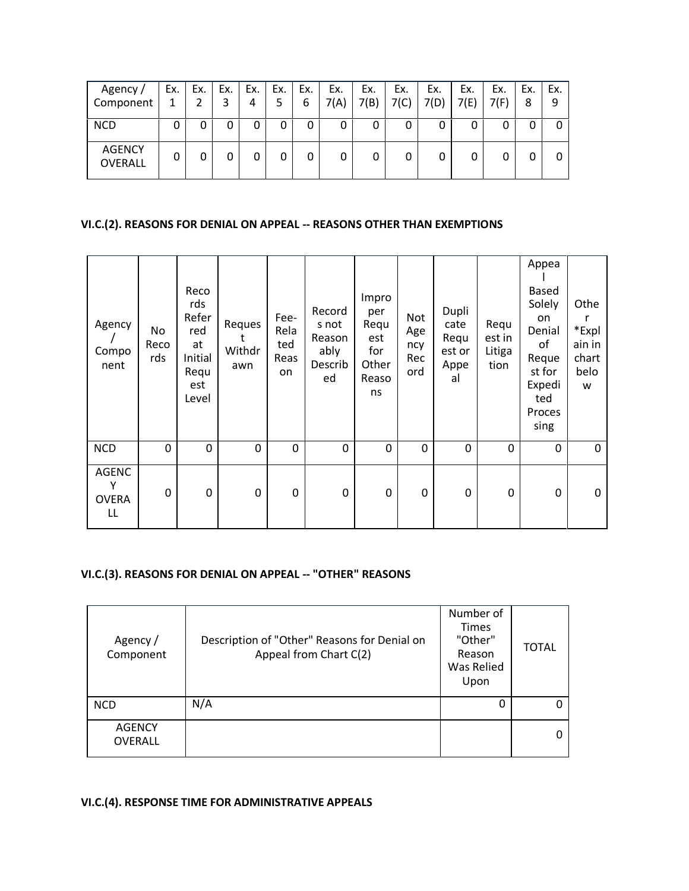| Agency /<br>Component           | Ex. | Ex. | Ex.<br>3 | Ex.<br>4 | Ex.<br>5 | Ex.<br>6 | Ex.<br>7(A) | Ex.<br>7(B) | Ex.<br>7(C) | Ex.<br>7(D) | Ex.<br>7(E) | Ex.<br>7(F) | Ex.<br>8 | Ex.<br>9 |
|---------------------------------|-----|-----|----------|----------|----------|----------|-------------|-------------|-------------|-------------|-------------|-------------|----------|----------|
| <b>NCD</b>                      | 0   | 0   | 0        | 0        | 0        |          | 0           |             | 0           |             | 0           |             |          |          |
| <b>AGENCY</b><br><b>OVERALL</b> | 0   | 0   | 0        | 0        | 0        |          | 0           |             | 0           |             | 0           |             |          |          |

# VI.C.(2). REASONS FOR DENIAL ON APPEAL -- REASONS OTHER THAN EXEMPTIONS

| Agency<br>Compo<br>nent                 | No<br>Reco<br>rds | Reco<br>rds<br>Refer<br>red<br>at<br>Initial<br>Requ<br>est<br>Level | Reques<br>Withdr<br>awn | Fee-<br>Rela<br>ted<br>Reas<br>on | Record<br>s not<br>Reason<br>ably<br>Describ<br>ed | Impro<br>per<br>Requ<br>est<br>for<br>Other<br>Reaso<br>ns | Not<br>Age<br>ncy<br>Rec<br>ord | Dupli<br>cate<br>Requ<br>est or<br>Appe<br>al | Requ<br>est in<br>Litiga<br>tion | Appea<br>Based<br>Solely<br>on<br>Denial<br>of<br>Reque<br>st for<br>Expedi<br>ted<br>Proces<br>sing | Othe<br>*Expl<br>ain in<br>chart<br>belo<br>W |
|-----------------------------------------|-------------------|----------------------------------------------------------------------|-------------------------|-----------------------------------|----------------------------------------------------|------------------------------------------------------------|---------------------------------|-----------------------------------------------|----------------------------------|------------------------------------------------------------------------------------------------------|-----------------------------------------------|
| <b>NCD</b>                              | 0                 | 0                                                                    | 0                       | 0                                 | 0                                                  | 0                                                          | 0                               | 0                                             | 0                                | 0                                                                                                    | $\mathbf 0$                                   |
| <b>AGENC</b><br>Υ<br><b>OVERA</b><br>LL | 0                 | 0                                                                    | 0                       | 0                                 | 0                                                  | 0                                                          | 0                               | 0                                             | 0                                | 0                                                                                                    | $\mathbf{0}$                                  |

## VI.C.(3). REASONS FOR DENIAL ON APPEAL -- "OTHER" REASONS

| Agency /<br>Component           | Description of "Other" Reasons for Denial on<br>Appeal from Chart C(2) | Number of<br><b>Times</b><br>"Other"<br>Reason<br>Was Relied<br>Upon | <b>TOTAL</b> |
|---------------------------------|------------------------------------------------------------------------|----------------------------------------------------------------------|--------------|
| <b>NCD</b>                      | N/A                                                                    | 0                                                                    |              |
| <b>AGENCY</b><br><b>OVERALL</b> |                                                                        |                                                                      |              |

# VI.C.(4). RESPONSE TIME FOR ADMINISTRATIVE APPEALS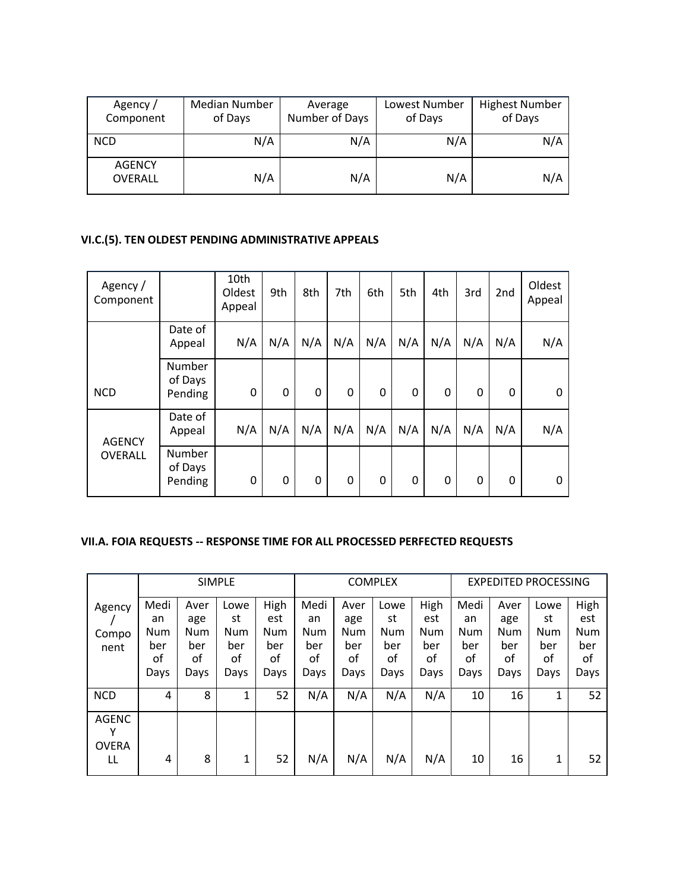| Agency /<br>Component           | <b>Median Number</b><br>of Days | Average<br>Number of Days | Lowest Number<br>of Days | <b>Highest Number</b><br>of Days |
|---------------------------------|---------------------------------|---------------------------|--------------------------|----------------------------------|
| <b>NCD</b>                      | N/A                             | N/A                       | N/A                      | N/A                              |
| <b>AGENCY</b><br><b>OVERALL</b> | N/A                             | N/A                       | N/A                      | N/A                              |

# **VI.C.(5). TEN OLDEST PENDING ADMINISTRATIVE APPEALS**

| Agency /<br>Component |                              | 10th<br>Oldest<br>Appeal | 9th | 8th      | 7th | 6th | 5th | 4th | 3rd          | 2 <sub>nd</sub> | Oldest<br>Appeal |
|-----------------------|------------------------------|--------------------------|-----|----------|-----|-----|-----|-----|--------------|-----------------|------------------|
|                       | Date of<br>Appeal            | N/A                      | N/A | N/A      | N/A | N/A | N/A | N/A | N/A          | N/A             | N/A              |
| <b>NCD</b>            | Number<br>of Days<br>Pending | 0                        | 0   | $\Omega$ | 0   | 0   | 0   | 0   | $\mathbf{0}$ | 0               | 0                |
| <b>AGENCY</b>         | Date of<br>Appeal            | N/A                      | N/A | N/A      | N/A | N/A | N/A | N/A | N/A          | N/A             | N/A              |
| <b>OVERALL</b>        | Number<br>of Days<br>Pending | 0                        | 0   | 0        | 0   | 0   | 0   | 0   | $\mathbf{0}$ | 0               | 0                |

# **VII.A. FOIA REQUESTS -- RESPONSE TIME FOR ALL PROCESSED PERFECTED REQUESTS**

|                   |            |            | <b>SIMPLE</b> |            |            |            | <b>COMPLEX</b> |            |            |            | <b>EXPEDITED PROCESSING</b> |      |
|-------------------|------------|------------|---------------|------------|------------|------------|----------------|------------|------------|------------|-----------------------------|------|
| Agency            | Medi       | Aver       | Lowe          | High       | Medi       | Aver       | Lowe           | High       | Medi       | Aver       | Lowe                        | High |
|                   | an         | age        | st            | est        | an         | age        | st             | est        | an         | age        | st                          | est  |
| Compo             | <b>Num</b> | <b>Num</b> | <b>Num</b>    | <b>Num</b> | <b>Num</b> | <b>Num</b> | Num            | <b>Num</b> | <b>Num</b> | <b>Num</b> | Num                         | Num  |
| nent              | ber        | ber        | ber           | ber        | ber        | ber        | ber            | ber        | ber        | ber        | ber                         | ber  |
|                   | οf         | οf         | of            | οf         | οf         | οf         | οf             | οf         | οf         | οf         | οf                          | of   |
|                   | Days       | Days       | Days          | Days       | Days       | Days       | Days           | Days       | Days       | Days       | Days                        | Days |
| <b>NCD</b>        | 4          | 8          | 1             | 52         | N/A        | N/A        | N/A            | N/A        | 10         | 16         | 1                           | 52   |
| <b>AGENC</b><br>v |            |            |               |            |            |            |                |            |            |            |                             |      |
| <b>OVERA</b>      |            |            |               |            |            |            |                |            |            |            |                             |      |
| LL                | 4          | 8          | 1             | 52         | N/A        | N/A        | N/A            | N/A        | 10         | 16         | 1                           | 52   |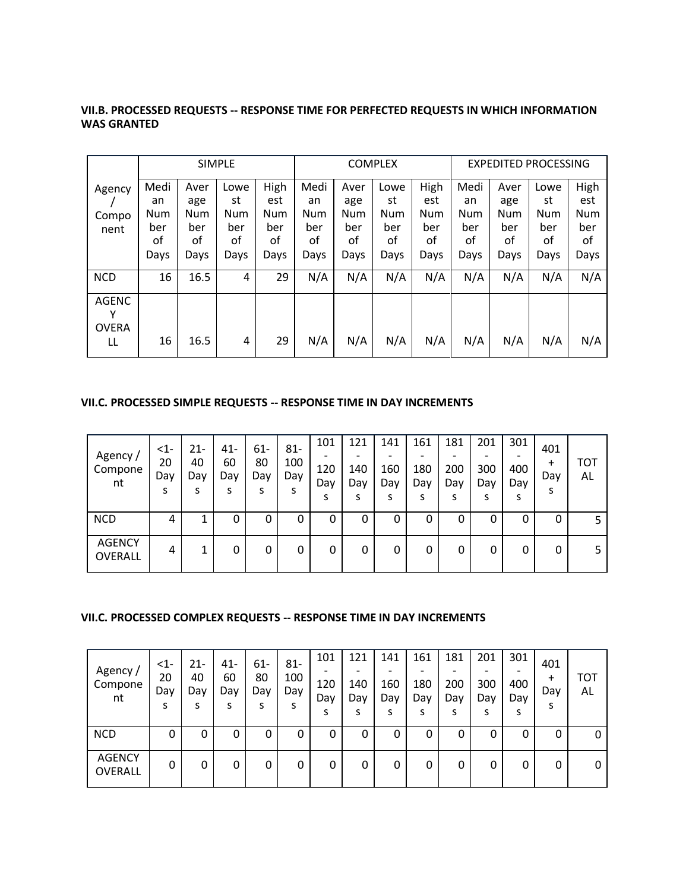#### **VII.B. PROCESSED REQUESTS -- RESPONSE TIME FOR PERFECTED REQUESTS IN WHICH INFORMATION WAS GRANTED**

|                                         |                                        |                                                | <b>SIMPLE</b>                                 |                                         |                                               |                                                | <b>COMPLEX</b>                                |                                                |                                               |                                                | <b>EXPEDITED PROCESSING</b>            |                                                |
|-----------------------------------------|----------------------------------------|------------------------------------------------|-----------------------------------------------|-----------------------------------------|-----------------------------------------------|------------------------------------------------|-----------------------------------------------|------------------------------------------------|-----------------------------------------------|------------------------------------------------|----------------------------------------|------------------------------------------------|
| Agency<br>Compo<br>nent                 | Medi<br>an<br>Num<br>ber<br>οf<br>Days | Aver<br>age<br><b>Num</b><br>ber<br>οf<br>Days | Lowe<br>st<br><b>Num</b><br>ber<br>of<br>Days | High<br>est<br>Num<br>ber<br>οf<br>Days | Medi<br>an<br><b>Num</b><br>ber<br>οf<br>Days | Aver<br>age<br><b>Num</b><br>ber<br>οf<br>Days | Lowe<br>st<br><b>Num</b><br>ber<br>οf<br>Days | High<br>est<br><b>Num</b><br>ber<br>οf<br>Days | Medi<br>an<br><b>Num</b><br>ber<br>οf<br>Days | Aver<br>age<br><b>Num</b><br>ber<br>οf<br>Days | Lowe<br>st<br>Num<br>ber<br>οf<br>Days | High<br>est<br><b>Num</b><br>ber<br>οf<br>Days |
| <b>NCD</b>                              | 16                                     | 16.5                                           | 4                                             | 29                                      | N/A                                           | N/A                                            | N/A                                           | N/A                                            | N/A                                           | N/A                                            | N/A                                    | N/A                                            |
| <b>AGENC</b><br>v<br><b>OVERA</b><br>LL | 16                                     | 16.5                                           | 4                                             | 29                                      | N/A                                           | N/A                                            | N/A                                           | N/A                                            | N/A                                           | N/A                                            | N/A                                    | N/A                                            |

#### **VII.C. PROCESSED SIMPLE REQUESTS -- RESPONSE TIME IN DAY INCREMENTS**

| Agency/<br>Compone<br>nt        | $\leq$ 1-<br>20<br>Day<br>s | 21-<br>40<br>Day<br>s | $41 -$<br>60<br>Day<br>s | $61 -$<br>80<br>Day | $81 -$<br>100<br>Day | 101<br>120<br>Day<br>S | 121<br>140<br>Day | 141<br>$\overline{\phantom{0}}$<br>160<br>Day<br>S | 161<br>180<br>Day<br>s | 181<br>200<br>Day | 201<br>-<br>300<br>Day<br>ς | 301<br>-<br>400<br>Day<br>S | 401<br>+<br>Day<br>s | тот<br>AL |
|---------------------------------|-----------------------------|-----------------------|--------------------------|---------------------|----------------------|------------------------|-------------------|----------------------------------------------------|------------------------|-------------------|-----------------------------|-----------------------------|----------------------|-----------|
| <b>NCD</b>                      | 4                           |                       | 0                        | 0                   | 0                    | 0                      | 0                 | 0                                                  | 0                      | 0                 | 0                           | 0                           | 0                    |           |
| <b>AGENCY</b><br><b>OVERALL</b> | 4                           |                       | 0                        | 0                   | 0                    | 0                      | 0                 | 0                                                  | 0                      | 0                 | 0                           | 0                           | 0                    |           |

## **VII.C. PROCESSED COMPLEX REQUESTS -- RESPONSE TIME IN DAY INCREMENTS**

| Agency/<br>Compone<br>nt | $\leq$ 1-<br>20<br>Day<br>s | 21-<br>40<br>Day<br>S | $41 -$<br>60<br>Day<br>s | $61 -$<br>80<br>Day | $81 -$<br>100<br>Day | 101<br>120<br>Day<br>S | 121<br>140<br>Day | 141<br>$\overline{\phantom{0}}$<br>160<br>Dav<br>S | 161<br>180<br>Day<br>s | 181<br>200<br>Day | 201<br>-<br>300<br>Day | 301<br>-<br>400<br>Day<br>s | 401<br>+<br>Day<br>s | тот<br>AL |
|--------------------------|-----------------------------|-----------------------|--------------------------|---------------------|----------------------|------------------------|-------------------|----------------------------------------------------|------------------------|-------------------|------------------------|-----------------------------|----------------------|-----------|
| <b>NCD</b>               | 0                           | 0                     | 0                        | 0                   | 0                    | 0                      | 0                 | 0                                                  | 0                      | 0                 | 0                      | 0                           | 0                    | 0         |
| <b>AGENCY</b><br>OVERALL | 0                           | 0                     | 0                        | 0                   | 0                    | 0                      | 0                 | 0                                                  | 0                      | 0                 | 0                      | 0                           | 0                    | 0         |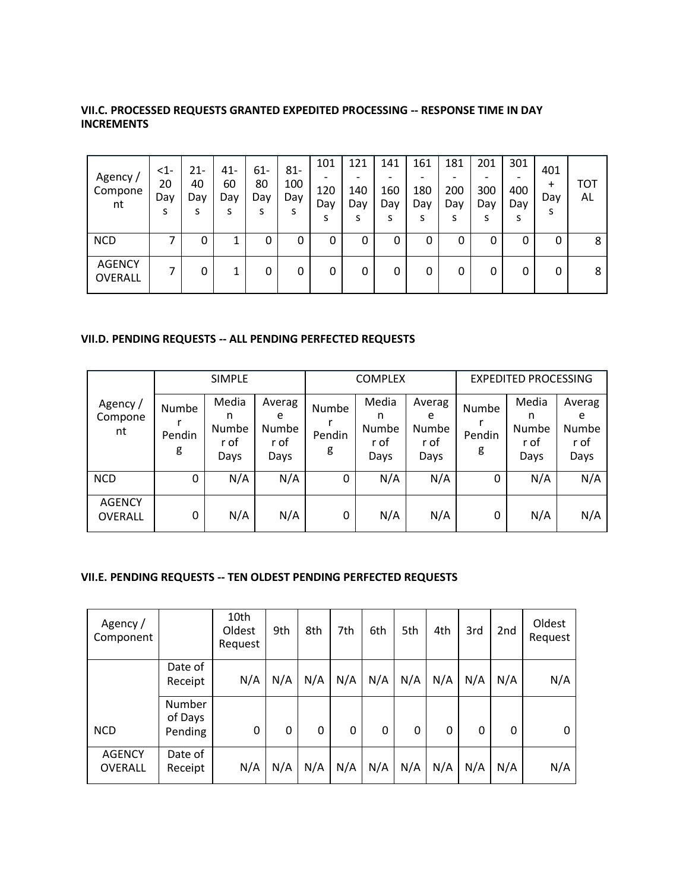| Agency /<br>Compone<br>nt | $\leq$ 1-<br>20<br>Day<br>S | $21-$<br>40<br>Day | $41 -$<br>60<br>Day | 61-<br>80<br>Day | $81 -$<br>100<br>Day | 101<br>120<br>Day<br>s | 121<br>140<br>Day | 141<br>160<br>Day<br>S | 161<br>180<br>Day<br>s | 181<br>200<br>Day | 201<br>-<br>300<br>Day<br>S | 301<br>400<br>Day<br>s | 401<br>$\ddot{}$<br>Day<br>s | тот<br>AL |
|---------------------------|-----------------------------|--------------------|---------------------|------------------|----------------------|------------------------|-------------------|------------------------|------------------------|-------------------|-----------------------------|------------------------|------------------------------|-----------|
| <b>NCD</b>                |                             | 0                  |                     | 0                | 0                    | 0                      | 0                 | 0                      | 0                      | 0                 | 0                           | 0                      | 0                            | 8         |
| <b>AGENCY</b><br>OVERALL  | ⇁                           | 0                  |                     | 0                | 0                    | 0                      | 0                 | 0                      | 0                      | 0                 | 0                           | 0                      | 0                            | 8         |

## **VII.C. PROCESSED REQUESTS GRANTED EXPEDITED PROCESSING -- RESPONSE TIME IN DAY INCREMENTS**

#### **VII.D. PENDING REQUESTS -- ALL PENDING PERFECTED REQUESTS**

|                           |                      | <b>SIMPLE</b>                              |                                      |                      | <b>COMPLEX</b>                             |                                      |                      | <b>EXPEDITED PROCESSING</b>         |                                      |
|---------------------------|----------------------|--------------------------------------------|--------------------------------------|----------------------|--------------------------------------------|--------------------------------------|----------------------|-------------------------------------|--------------------------------------|
| Agency /<br>Compone<br>nt | Numbe<br>Pendin<br>g | Media<br>n<br><b>Numbe</b><br>r of<br>Days | Averag<br>e<br>Numbe<br>r of<br>Days | Numbe<br>Pendin<br>g | Media<br>n<br><b>Numbe</b><br>r of<br>Days | Averag<br>e<br>Numbe<br>r of<br>Days | Numbe<br>Pendin<br>g | Media<br>n<br>Numbe<br>r of<br>Days | Averag<br>e<br>Numbe<br>r of<br>Days |
| <b>NCD</b>                | 0                    | N/A                                        | N/A                                  | 0                    | N/A                                        | N/A                                  | 0                    | N/A                                 | N/A                                  |
| <b>AGENCY</b><br>OVERALL  | 0                    | N/A                                        | N/A                                  | 0                    | N/A                                        | N/A                                  | 0                    | N/A                                 | N/A                                  |

## **VII.E. PENDING REQUESTS -- TEN OLDEST PENDING PERFECTED REQUESTS**

| Agency /<br>Component           |                              | 10th<br>Oldest<br>Request | 9th | 8th | 7th | 6th | 5th | 4th | 3rd | 2 <sub>nd</sub> | Oldest<br>Request |
|---------------------------------|------------------------------|---------------------------|-----|-----|-----|-----|-----|-----|-----|-----------------|-------------------|
|                                 | Date of<br>Receipt           | N/A                       | N/A | N/A | N/A | N/A | N/A | N/A | N/A | N/A             | N/A               |
| <b>NCD</b>                      | Number<br>of Days<br>Pending | 0                         | 0   | 0   | 0   | 0   | 0   | 0   | 0   | 0               | 0                 |
| <b>AGENCY</b><br><b>OVERALL</b> | Date of<br>Receipt           | N/A                       | N/A | N/A | N/A | N/A | N/A | N/A | N/A | N/A             | N/A               |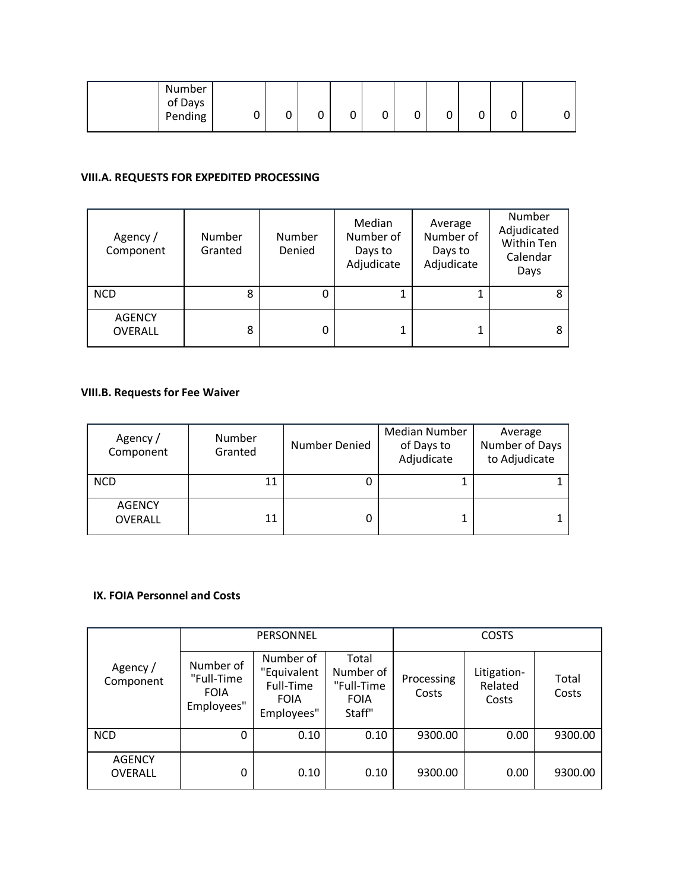| Number<br>of Days<br>Pending | 0 | L | ⌒<br>U | ◠<br>v | u | ∽<br>U | ◠<br>∼ | υ |  |
|------------------------------|---|---|--------|--------|---|--------|--------|---|--|
|                              |   |   |        |        |   |        |        |   |  |

# **VIII.A. REQUESTS FOR EXPEDITED PROCESSING**

| Agency /<br>Component    | Number<br>Granted | Number<br>Denied | Median<br>Number of<br>Days to<br>Adjudicate | Average<br>Number of<br>Days to<br>Adjudicate | Number<br>Adjudicated<br>Within Ten<br>Calendar<br>Days |
|--------------------------|-------------------|------------------|----------------------------------------------|-----------------------------------------------|---------------------------------------------------------|
| <b>NCD</b>               | 8                 |                  |                                              |                                               | 8                                                       |
| <b>AGENCY</b><br>OVERALL | 8                 |                  |                                              |                                               |                                                         |

# **VIII.B. Requests for Fee Waiver**

| Agency /<br>Component           | Number<br>Granted | Number Denied | <b>Median Number</b><br>of Days to<br>Adjudicate | Average<br>Number of Days<br>to Adjudicate |
|---------------------------------|-------------------|---------------|--------------------------------------------------|--------------------------------------------|
| <b>NCD</b>                      | 11                |               |                                                  |                                            |
| <b>AGENCY</b><br><b>OVERALL</b> | 11                |               |                                                  |                                            |

## **IX. FOIA Personnel and Costs**

|                                 |                                                      | PERSONNEL                                                          |                                                           | <b>COSTS</b>        |                                 |                |  |
|---------------------------------|------------------------------------------------------|--------------------------------------------------------------------|-----------------------------------------------------------|---------------------|---------------------------------|----------------|--|
| Agency /<br>Component           | Number of<br>"Full-Time<br><b>FOIA</b><br>Employees" | Number of<br>"Equivalent<br>Full-Time<br><b>FOIA</b><br>Employees" | Total<br>Number of<br>"Full-Time<br><b>FOIA</b><br>Staff" | Processing<br>Costs | Litigation-<br>Related<br>Costs | Total<br>Costs |  |
| <b>NCD</b>                      | 0                                                    | 0.10                                                               | 0.10                                                      | 9300.00             | 0.00                            | 9300.00        |  |
| <b>AGENCY</b><br><b>OVERALL</b> | 0                                                    | 0.10                                                               | 0.10                                                      | 9300.00             | 0.00                            | 9300.00        |  |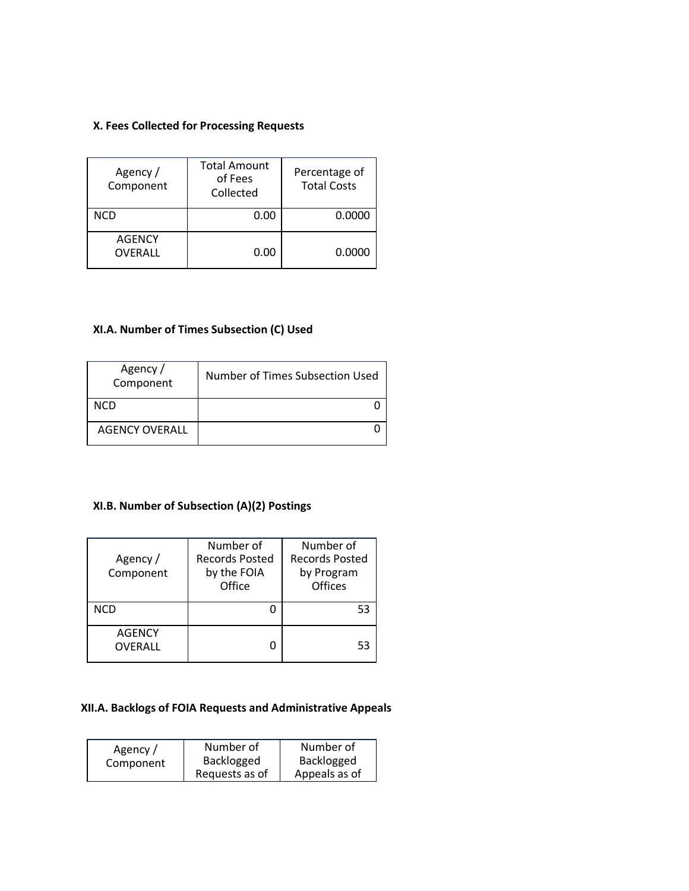## **X. Fees Collected for Processing Requests**

| Agency /<br>Component    | <b>Total Amount</b><br>of Fees<br>Collected | Percentage of<br><b>Total Costs</b> |
|--------------------------|---------------------------------------------|-------------------------------------|
| NCD                      | 0.00                                        | 0.0000                              |
| <b>AGENCY</b><br>OVERALL | 0.00                                        | 0.0000                              |

## **XI.A. Number of Times Subsection (C) Used**

| Agency /<br>Component | Number of Times Subsection Used |
|-----------------------|---------------------------------|
| <b>NCD</b>            |                                 |
| <b>AGENCY OVERALL</b> |                                 |

# **XI.B. Number of Subsection (A)(2) Postings**

| Agency /<br>Component    | Number of<br><b>Records Posted</b><br>by the FOIA<br>Office | Number of<br><b>Records Posted</b><br>by Program<br><b>Offices</b> |  |
|--------------------------|-------------------------------------------------------------|--------------------------------------------------------------------|--|
| <b>NCD</b>               |                                                             | 53                                                                 |  |
| <b>AGENCY</b><br>OVERALL | 0                                                           | 53                                                                 |  |

## **XII.A. Backlogs of FOIA Requests and Administrative Appeals**

| Agency /  | Number of      | Number of     |  |
|-----------|----------------|---------------|--|
| Component | Backlogged     | Backlogged    |  |
|           | Requests as of | Appeals as of |  |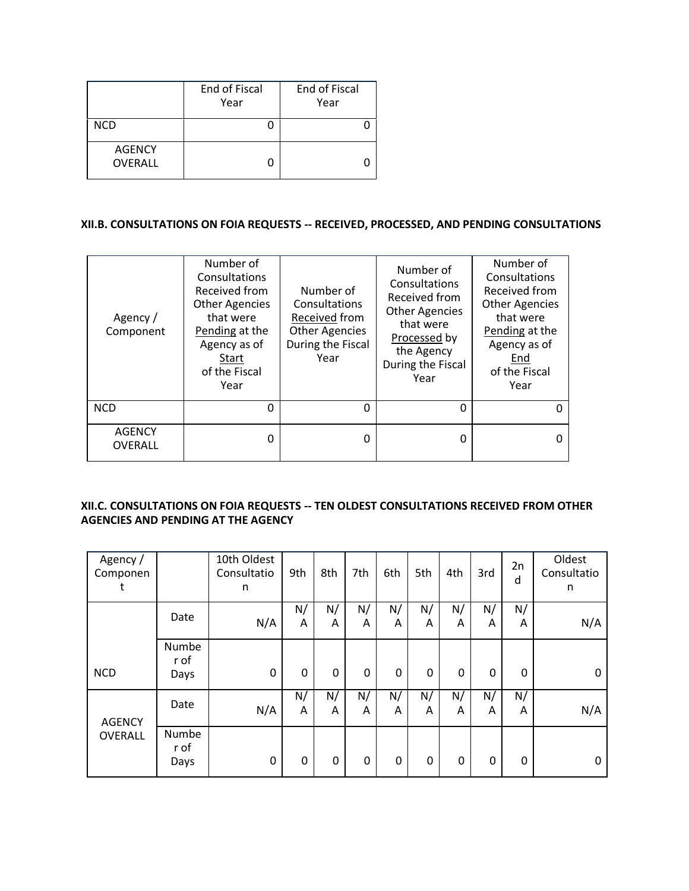|                                 | End of Fiscal<br>Year | End of Fiscal<br>Year |  |
|---------------------------------|-----------------------|-----------------------|--|
| <b>NCD</b>                      |                       |                       |  |
| <b>AGENCY</b><br><b>OVERALL</b> |                       |                       |  |

## **XII.B. CONSULTATIONS ON FOIA REQUESTS -- RECEIVED, PROCESSED, AND PENDING CONSULTATIONS**

| Agency/<br>Component            | Number of<br>Consultations<br>Received from<br><b>Other Agencies</b><br>that were<br>Pending at the<br>Agency as of<br>Start<br>of the Fiscal<br>Year | Number of<br>Consultations<br>Received from<br><b>Other Agencies</b><br>During the Fiscal<br>Year | Number of<br>Consultations<br>Received from<br><b>Other Agencies</b><br>that were<br>Processed by<br>the Agency<br>During the Fiscal<br>Year | Number of<br>Consultations<br>Received from<br><b>Other Agencies</b><br>that were<br>Pending at the<br>Agency as of<br>End<br>of the Fiscal<br>Year |
|---------------------------------|-------------------------------------------------------------------------------------------------------------------------------------------------------|---------------------------------------------------------------------------------------------------|----------------------------------------------------------------------------------------------------------------------------------------------|-----------------------------------------------------------------------------------------------------------------------------------------------------|
| <b>NCD</b>                      | 0                                                                                                                                                     | 0                                                                                                 | 0                                                                                                                                            |                                                                                                                                                     |
| <b>AGENCY</b><br><b>OVERALL</b> | 0                                                                                                                                                     | n                                                                                                 | U                                                                                                                                            |                                                                                                                                                     |

#### **XII.C. CONSULTATIONS ON FOIA REQUESTS -- TEN OLDEST CONSULTATIONS RECEIVED FROM OTHER AGENCIES AND PENDING AT THE AGENCY**

| Agency /<br>Componen<br>t |                       | 10th Oldest<br>Consultatio<br>n | 9th     | 8th         | 7th     | 6th     | 5th     | 4th     | 3rd     | 2n<br>d | Oldest<br>Consultatio<br>n |
|---------------------------|-----------------------|---------------------------------|---------|-------------|---------|---------|---------|---------|---------|---------|----------------------------|
|                           | Date                  | N/A                             | N/<br>A | N/<br>A     | N/<br>A | N/<br>A | N/<br>A | N/<br>A | N/<br>A | N/<br>A | N/A                        |
| <b>NCD</b>                | Numbe<br>r of<br>Days | 0                               | 0       | 0           | 0       | 0       | 0       | 0       | 0       | 0       | 0                          |
| <b>AGENCY</b>             | Date                  | N/A                             | N/<br>A | N/<br>Α     | N/<br>A | N/<br>A | N/<br>A | N/<br>A | N/<br>Α | N/<br>A | N/A                        |
| OVERALL                   | Numbe<br>r of<br>Days | 0                               | 0       | $\mathbf 0$ | 0       | 0       | 0       | 0       | 0       | 0       | 0                          |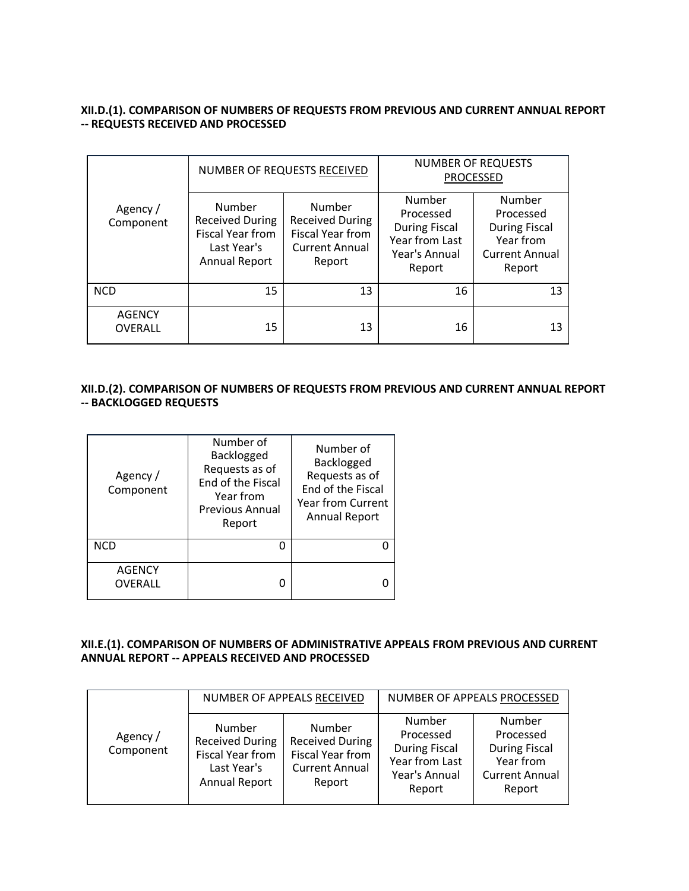#### **XII.D.(1). COMPARISON OF NUMBERS OF REQUESTS FROM PREVIOUS AND CURRENT ANNUAL REPORT -- REQUESTS RECEIVED AND PROCESSED**

|                                 |                                                                                             | NUMBER OF REQUESTS RECEIVED                                                             | <b>NUMBER OF REQUESTS</b><br><b>PROCESSED</b>                                            |                                                                                             |  |
|---------------------------------|---------------------------------------------------------------------------------------------|-----------------------------------------------------------------------------------------|------------------------------------------------------------------------------------------|---------------------------------------------------------------------------------------------|--|
| Agency /<br>Component           | Number<br><b>Received During</b><br>Fiscal Year from<br>Last Year's<br><b>Annual Report</b> | Number<br><b>Received During</b><br>Fiscal Year from<br><b>Current Annual</b><br>Report | Number<br>Processed<br><b>During Fiscal</b><br>Year from Last<br>Year's Annual<br>Report | Number<br>Processed<br><b>During Fiscal</b><br>Year from<br><b>Current Annual</b><br>Report |  |
| <b>NCD</b>                      | 15                                                                                          | 13                                                                                      | 16                                                                                       | 13                                                                                          |  |
| <b>AGENCY</b><br><b>OVERALL</b> | 15                                                                                          | 13                                                                                      | 16                                                                                       | 13                                                                                          |  |

#### **XII.D.(2). COMPARISON OF NUMBERS OF REQUESTS FROM PREVIOUS AND CURRENT ANNUAL REPORT -- BACKLOGGED REQUESTS**

| Agency/<br>Component     | Number of<br>Backlogged<br>Requests as of<br>End of the Fiscal<br>Year from<br><b>Previous Annual</b><br>Report | Number of<br>Backlogged<br>Requests as of<br>End of the Fiscal<br><b>Year from Current</b><br><b>Annual Report</b> |
|--------------------------|-----------------------------------------------------------------------------------------------------------------|--------------------------------------------------------------------------------------------------------------------|
| <b>NCD</b>               |                                                                                                                 |                                                                                                                    |
| <b>AGENCY</b><br>OVERALL |                                                                                                                 |                                                                                                                    |

#### **XII.E.(1). COMPARISON OF NUMBERS OF ADMINISTRATIVE APPEALS FROM PREVIOUS AND CURRENT ANNUAL REPORT -- APPEALS RECEIVED AND PROCESSED**

|                       |                                                                                             | NUMBER OF APPEALS RECEIVED                                                              |                                                                                          | NUMBER OF APPEALS PROCESSED                                                                 |
|-----------------------|---------------------------------------------------------------------------------------------|-----------------------------------------------------------------------------------------|------------------------------------------------------------------------------------------|---------------------------------------------------------------------------------------------|
| Agency /<br>Component | Number<br><b>Received During</b><br>Fiscal Year from<br>Last Year's<br><b>Annual Report</b> | Number<br><b>Received During</b><br>Fiscal Year from<br><b>Current Annual</b><br>Report | Number<br>Processed<br><b>During Fiscal</b><br>Year from Last<br>Year's Annual<br>Report | Number<br>Processed<br><b>During Fiscal</b><br>Year from<br><b>Current Annual</b><br>Report |